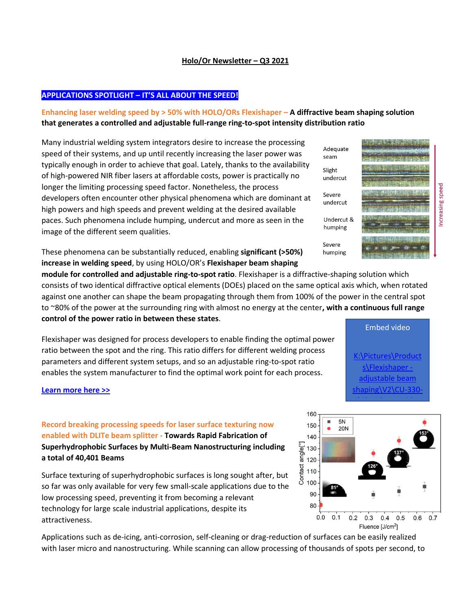#### **Holo/Or Newsletter – Q3 2021**

## **APPLICATIONS SPOTLIGHT – IT'S ALL ABOUT THE SPEED!**

# **Enhancing laser welding speed by > 50% with HOLO/ORs Flexishaper – A diffractive beam shaping solution that generates a controlled and adjustable full-range ring-to-spot intensity distribution ratio**

Many industrial welding system integrators desire to increase the processing speed of their systems, and up until recently increasing the laser power was typically enough in order to achieve that goal. Lately, thanks to the availability of high-powered NIR fiber lasers at affordable costs, power is practically no longer the limiting processing speed factor. Nonetheless, the process developers often encounter other physical phenomena which are dominant at high powers and high speeds and prevent welding at the desired available paces. Such phenomena include humping, undercut and more as seen in the image of the different seem qualities.

These phenomena can be substantially reduced, enabling **significant (>50%) increase in welding speed**, by using HOLO/OR's **Flexishaper beam shaping** 

**module for controlled and adjustable ring-to-spot ratio**. Flexishaper is a diffractive-shaping solution which consists of two identical diffractive optical elements (DOEs) placed on the same optical axis which, when rotated against one another can shape the beam propagating through them from 100% of the power in the central spot to ~80% of the power at the surrounding ring with almost no energy at the center**, with a continuous full range control of the power ratio in between these states**.

Flexishaper was designed for process developers to enable finding the optimal power ratio between the spot and the ring. This ratio differs for different welding process parameters and different system setups, and so an adjustable ring-to-spot ratio enables the system manufacturer to find the optimal work point for each process.

**[Learn more here >>](https://www.holoor.co.il/flexishaper-ring-to-spot-beam-shaping-optical-module/)**

# **Record breaking processing speeds for laser surface texturing now enabled with DLITe beam splitter - Towards Rapid Fabrication of Superhydrophobic Surfaces by Multi-Beam Nanostructuring including a total of 40,401 Beams**

Surface texturing of superhydrophobic surfaces is long sought after, but so far was only available for very few small-scale applications due to the low processing speed, preventing it from becoming a relevant technology for large scale industrial applications, despite its attractiveness.

Applications such as de-icing, anti-corrosion, self-cleaning or drag-reduction of surfaces can be easily realized with laser micro and nanostructuring. While scanning can allow processing of thousands of spots per second, to





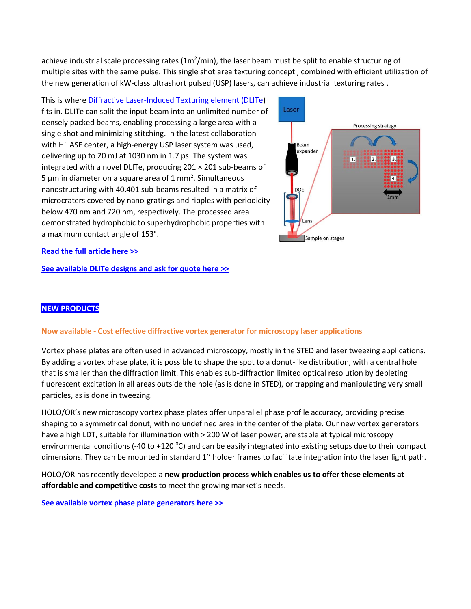achieve industrial scale processing rates (1m<sup>2</sup>/min), the laser beam must be split to enable structuring of multiple sites with the same pulse. This single shot area texturing concept , combined with efficient utilization of the new generation of kW-class ultrashort pulsed (USP) lasers, can achieve industrial texturing rates .

This is wher[e Diffractive Laser-Induced Texturing element \(DLITe\)](https://www.holoor.co.il/dlite-diffractive-laser-induced-texturing/) fits in. DLITe can split the input beam into an unlimited number of densely packed beams, enabling processing a large area with a single shot and minimizing stitching. In the latest collaboration with HiLASE center, a high-energy USP laser system was used, delivering up to 20 mJ at 1030 nm in 1.7 ps. The system was integrated with a novel DLITe, producing 201 × 201 sub-beams of 5  $\mu$ m in diameter on a square area of 1 mm<sup>2</sup>. Simultaneous nanostructuring with 40,401 sub-beams resulted in a matrix of microcraters covered by nano-gratings and ripples with periodicity below 470 nm and 720 nm, respectively. The processed area demonstrated hydrophobic to superhydrophobic properties with a maximum contact angle of 153°.



### **[Read the full article here](https://www.holoor.co.il/wp-content/uploads/2021/09/nanomaterials-11-01987-2.pdf) >>**

**[See available DLITe designs and ask for quote here](https://www.holoor.co.il/dlite-diffractive-laser-induced-texturing/) >>**

### **NEW PRODUCTS**

#### **Now available - Cost effective diffractive vortex generator for microscopy laser applications**

Vortex phase plates are often used in advanced microscopy, mostly in the STED and laser tweezing applications. By adding a vortex phase plate, it is possible to shape the spot to a donut-like distribution, with a central hole that is smaller than the diffraction limit. This enables sub-diffraction limited optical resolution by depleting fluorescent excitation in all areas outside the hole (as is done in STED), or trapping and manipulating very small particles, as is done in tweezing.

HOLO/OR's new microscopy vortex phase plates offer unparallel phase profile accuracy, providing precise shaping to a symmetrical donut, with no undefined area in the center of the plate. Our new vortex generators have a high LDT, suitable for illumination with > 200 W of laser power, are stable at typical microscopy environmental conditions (-40 to +120  $^{\circ}$ C) and can be easily integrated into existing setups due to their compact dimensions. They can be mounted in standard 1" holder frames to facilitate integration into the laser light path.

HOLO/OR has recently developed a **new production process which enables us to offer these elements at affordable and competitive costs** to meet the growing market's needs.

#### **[See available vortex phase plate generators here](https://www.holoor.co.il/product/spiral-phase-plate-vortex/) >>**